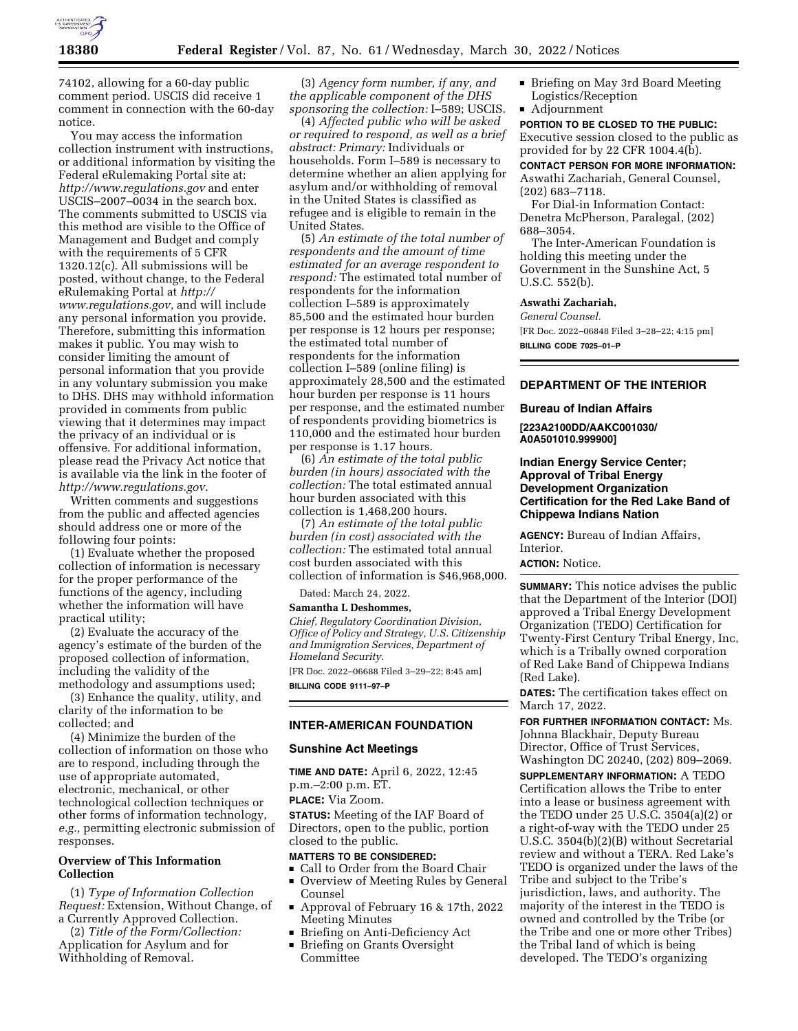

74102, allowing for a 60-day public comment period. USCIS did receive 1 comment in connection with the 60-day notice.

You may access the information collection instrument with instructions, or additional information by visiting the Federal eRulemaking Portal site at: *<http://www.regulations.gov>* and enter USCIS–2007–0034 in the search box. The comments submitted to USCIS via this method are visible to the Office of Management and Budget and comply with the requirements of 5 CFR 1320.12(c). All submissions will be posted, without change, to the Federal eRulemaking Portal at *[http://](http://www.regulations.gov) [www.regulations.gov,](http://www.regulations.gov)* and will include any personal information you provide. Therefore, submitting this information makes it public. You may wish to consider limiting the amount of personal information that you provide in any voluntary submission you make to DHS. DHS may withhold information provided in comments from public viewing that it determines may impact the privacy of an individual or is offensive. For additional information, please read the Privacy Act notice that is available via the link in the footer of *[http://www.regulations.gov.](http://www.regulations.gov)* 

Written comments and suggestions from the public and affected agencies should address one or more of the following four points:

(1) Evaluate whether the proposed collection of information is necessary for the proper performance of the functions of the agency, including whether the information will have practical utility;

(2) Evaluate the accuracy of the agency's estimate of the burden of the proposed collection of information, including the validity of the methodology and assumptions used;

(3) Enhance the quality, utility, and clarity of the information to be collected; and

(4) Minimize the burden of the collection of information on those who are to respond, including through the use of appropriate automated, electronic, mechanical, or other technological collection techniques or other forms of information technology, *e.g.,* permitting electronic submission of responses.

# **Overview of This Information Collection**

(1) *Type of Information Collection Request:* Extension, Without Change, of a Currently Approved Collection.

(2) *Title of the Form/Collection:*  Application for Asylum and for Withholding of Removal.

(3) *Agency form number, if any, and the applicable component of the DHS sponsoring the collection:* I–589; USCIS.

(4) *Affected public who will be asked or required to respond, as well as a brief abstract: Primary:* Individuals or households. Form I–589 is necessary to determine whether an alien applying for asylum and/or withholding of removal in the United States is classified as refugee and is eligible to remain in the United States.

(5) *An estimate of the total number of respondents and the amount of time estimated for an average respondent to respond:* The estimated total number of respondents for the information collection I–589 is approximately 85,500 and the estimated hour burden per response is 12 hours per response; the estimated total number of respondents for the information collection I–589 (online filing) is approximately 28,500 and the estimated hour burden per response is 11 hours per response, and the estimated number of respondents providing biometrics is 110,000 and the estimated hour burden per response is 1.17 hours.

(6) *An estimate of the total public burden (in hours) associated with the collection:* The total estimated annual hour burden associated with this collection is 1,468,200 hours.

(7) *An estimate of the total public burden (in cost) associated with the collection:* The estimated total annual cost burden associated with this collection of information is \$46,968,000.

Dated: March 24, 2022.

### **Samantha L Deshommes,**

*Chief, Regulatory Coordination Division, Office of Policy and Strategy, U.S. Citizenship and Immigration Services, Department of Homeland Security.* 

[FR Doc. 2022–06688 Filed 3–29–22; 8:45 am] **BILLING CODE 9111–97–P** 

# **INTER-AMERICAN FOUNDATION**

### **Sunshine Act Meetings**

**TIME AND DATE:** April 6, 2022, 12:45 p.m.–2:00 p.m. ET.

**PLACE:** Via Zoom.

**STATUS:** Meeting of the IAF Board of Directors, open to the public, portion closed to the public.

#### **MATTERS TO BE CONSIDERED:**

- Gall to Order from the Board Chair
- Overview of Meeting Rules by General Counsel
- D Approval of February 16 & 17th, 2022 Meeting Minutes
- Briefing on Anti-Deficiency Act
- **Briefing on Grants Oversight** Committee
- Briefing on May 3rd Board Meeting Logistics/Reception
- $\blacksquare$  Adjournment

**PORTION TO BE CLOSED TO THE PUBLIC:**  Executive session closed to the public as provided for by 22 CFR 1004.4(b).

**CONTACT PERSON FOR MORE INFORMATION:**  Aswathi Zachariah, General Counsel, (202) 683–7118.

For Dial-in Information Contact: Denetra McPherson, Paralegal, (202) 688–3054.

The Inter-American Foundation is holding this meeting under the Government in the Sunshine Act, 5 U.S.C. 552(b).

## **Aswathi Zachariah,**

*General Counsel.*  [FR Doc. 2022–06848 Filed 3–28–22; 4:15 pm] **BILLING CODE 7025–01–P** 

## **DEPARTMENT OF THE INTERIOR**

### **Bureau of Indian Affairs**

**[223A2100DD/AAKC001030/ A0A501010.999900]** 

# **Indian Energy Service Center; Approval of Tribal Energy Development Organization Certification for the Red Lake Band of Chippewa Indians Nation**

**AGENCY:** Bureau of Indian Affairs, Interior.

# **ACTION:** Notice.

**SUMMARY:** This notice advises the public that the Department of the Interior (DOI) approved a Tribal Energy Development Organization (TEDO) Certification for Twenty-First Century Tribal Energy, Inc, which is a Tribally owned corporation of Red Lake Band of Chippewa Indians (Red Lake).

**DATES:** The certification takes effect on March 17, 2022.

**FOR FURTHER INFORMATION CONTACT:** Ms. Johnna Blackhair, Deputy Bureau Director, Office of Trust Services, Washington DC 20240, (202) 809–2069.

**SUPPLEMENTARY INFORMATION:** A TEDO Certification allows the Tribe to enter into a lease or business agreement with the TEDO under 25 U.S.C. 3504(a)(2) or a right-of-way with the TEDO under 25 U.S.C. 3504(b)(2)(B) without Secretarial review and without a TERA. Red Lake's TEDO is organized under the laws of the Tribe and subject to the Tribe's jurisdiction, laws, and authority. The majority of the interest in the TEDO is owned and controlled by the Tribe (or the Tribe and one or more other Tribes) the Tribal land of which is being developed. The TEDO's organizing